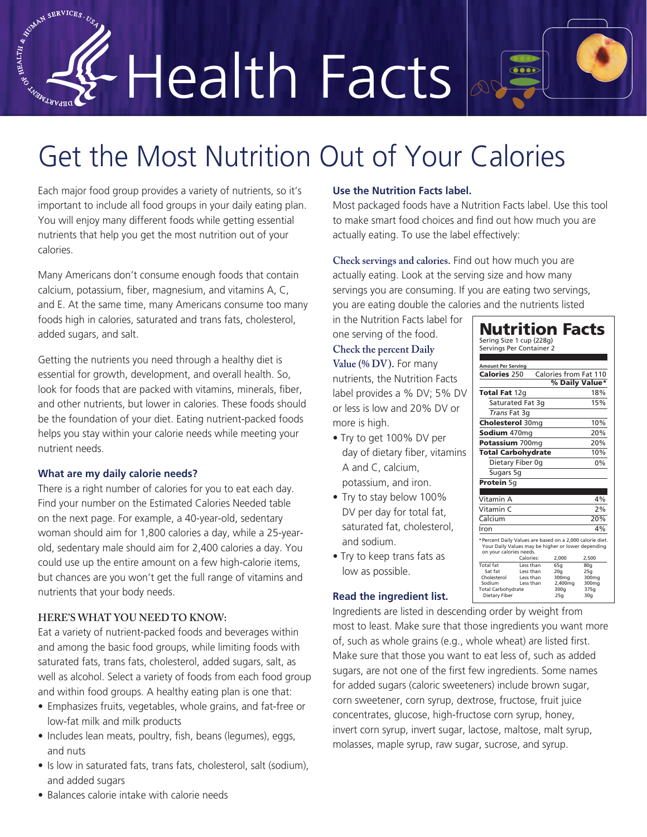# Health Facts

## Get the Most Nutrition Out of Your Calories

Each major food group provides a variety of nutrients, so it's important to include all food groups in your daily eating plan. You will enjoy many different foods while getting essential nutrients that help you get the most nutrition out of your calories.

Many Americans don't consume enough foods that contain calcium, potassium, fiber, magnesium, and vitamins A, C, and E. At the same time, many Americans consume too many foods high in calories, saturated and trans fats, cholesterol, added sugars, and salt.

Getting the nutrients you need through a healthy diet is essential for growth, development, and overall health. So, look for foods that are packed with vitamins, minerals, fiber, and other nutrients, but lower in calories. These foods should be the foundation of your diet. Eating nutrient-packed foods helps you stay within your calorie needs while meeting your nutrient needs.

#### **What are my daily calorie needs?**

AND A SERVICES. USA

There is a right number of calories for you to eat each day. Find your number on the Estimated Calories Needed table on the next page. For example, a 40-year-old, sedentary woman should aim for 1,800 calories a day, while a 25-yearold, sedentary male should aim for 2,400 calories a day. You could use up the entire amount on a few high-calorie items, but chances are you won't get the full range of vitamins and nutrients that your body needs.

#### **HERE'S WHAT YOU NEED TO KNOW:**

Eat a variety of nutrient-packed foods and beverages within and among the basic food groups, while limiting foods with saturated fats, trans fats, cholesterol, added sugars, salt, as well as alcohol. Select a variety of foods from each food group and within food groups. A healthy eating plan is one that:

- Emphasizes fruits, vegetables, whole grains, and fat-free or low-fat milk and milk products
- Includes lean meats, poultry, fish, beans (legumes), eggs, and nuts
- Is low in saturated fats, trans fats, cholesterol, salt (sodium), and added sugars

#### **Use the Nutrition Facts label.**

Most packaged foods have a Nutrition Facts label. Use this tool to make smart food choices and find out how much you are actually eating. To use the label effectively:

 $\circ$ 

**Check servings and calories.** Find out how much you are actually eating. Look at the serving size and how many servings you are consuming. If you are eating two servings, you are eating double the calories and the nutrients listed

in the Nutrition Facts label for one serving of the food.

### **Check the percent Daily**

**Value (% DV).** For many nutrients, the Nutrition Facts label provides a % DV; 5% DV or less is low and 20% DV or more is high.

- Try to get 100% DV per day of dietary fiber, vitamins A and C, calcium, potassium, and iron.
- Try to stay below 100% DV per day for total fat, saturated fat, cholesterol, and sodium.
- Try to keep trans fats as low as possible.

#### **Read the ingredient list.**

Vitamin A Vitamin C Calcium 20% Iron \*Percent Daily Values are based on a 2,000 calorie diet. Your Daily Values may be higher or lower depending on your calories needs.  $\begin{tabular}{llllll} \multicolumn{4}{l}{{\textbf{Calories:}}} & 2,000 & 2,500 \\ \textbf{Less than} & 65g & 80g \\ \textbf{Less than} & 20g & 25g \\ \textbf{Less than} & 300mg & 300mg \\ \textbf{Less than} & 2,400mg & 300mg \\ \end{tabular}$ Total fat Less than 65g 80g Sat fat Less than 20g 25g Cholesterol Less than 300mg 300mg Sodium Less than 2,400mg 300mg Total Carbohydrate 300g 375g Dietary Fiber 25g 30g Nutrition Facts Sering Size 1 cup (228g) Servings Per Container 2 **Amount Per Serving** Calories 250 Calories from Fat 110 % Daily Value\* Total Fat 12g 18% Saturated Fat 3q 15% *Trans* Fat 3g Cholesterol 30mg 10% Sodium 470mg Potassium 700mg Total Carbohydrate 10% Dietary Fiber 0g Sugars 5g Protein 5g 20% 20% 0% 4% 2% 4%

Ingredients are listed in descending order by weight from most to least. Make sure that those ingredients you want more of, such as whole grains (e.g., whole wheat) are listed first. Make sure that those you want to eat less of, such as added sugars, are not one of the first few ingredients. Some names for added sugars (caloric sweeteners) include brown sugar, corn sweetener, corn syrup, dextrose, fructose, fruit juice concentrates, glucose, high-fructose corn syrup, honey, invert corn syrup, invert sugar, lactose, maltose, malt syrup, molasses, maple syrup, raw sugar, sucrose, and syrup.

• Balances calorie intake with calorie needs